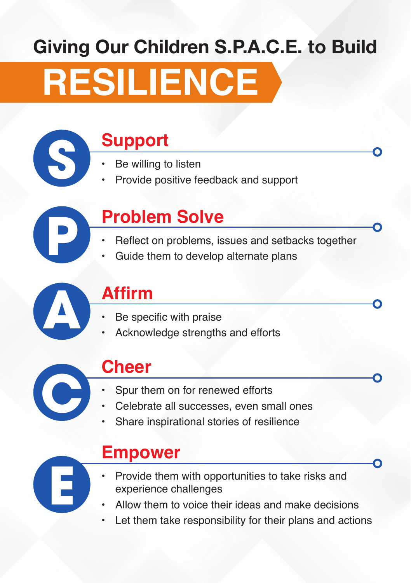## Giving Our Children S.P.A.C.E. to Build

# **RESILIENCE**

### **S Support**

- Be willing to listen
- Provide positive feedback and support

## **Problem Solve**

- Reflect on problems, issues and setbacks together<br>Guide them to develop alternate plans
- 



#### **Affirm**

- 
- **Be specific with praise<br>Acknowledge strengths and efforts**



**E**

#### **Cheer**

- Spur them on for renewed efforts
- Celebrate all successes, even small ones
- Share inspirational stories of resilience

#### **Empower**

- Provide them with opportunities to take risks and experience challenges
- Allow them to voice their ideas and make decisions
- Let them take responsibility for their plans and actions

n